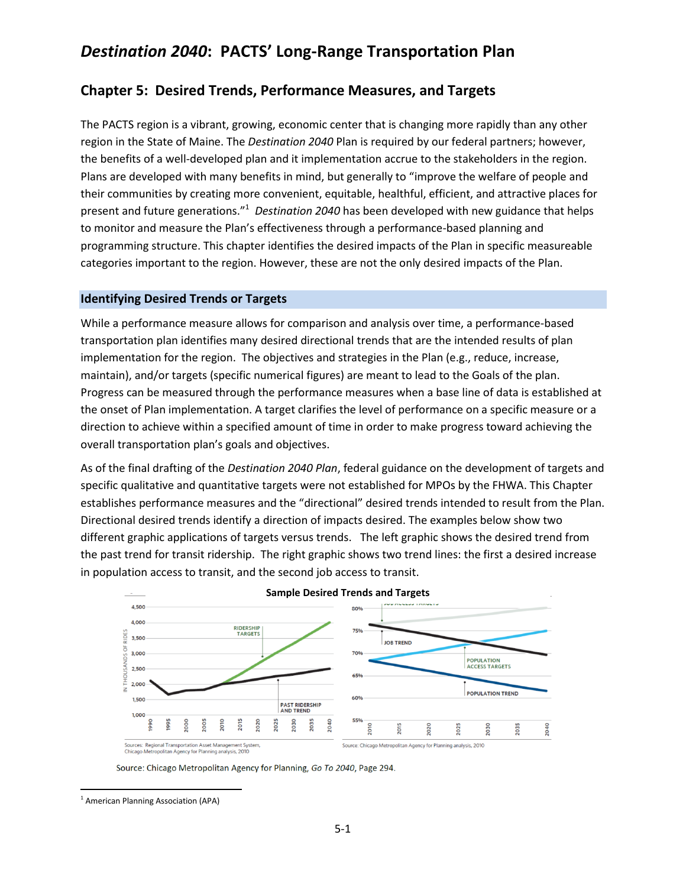## **Chapter 5: Desired Trends, Performance Measures, and Targets**

The PACTS region is a vibrant, growing, economic center that is changing more rapidly than any other region in the State of Maine. The *Destination 2040* Plan is required by our federal partners; however, the benefits of a well-developed plan and it implementation accrue to the stakeholders in the region. Plans are developed with many benefits in mind, but generally to "improve the welfare of people and their communities by creating more convenient, equitable, healthful, efficient, and attractive places for present and future generations."<sup>1</sup> Destination 2040 has been developed with new guidance that helps to monitor and measure the Plan's effectiveness through a performance-based planning and programming structure. This chapter identifies the desired impacts of the Plan in specific measureable categories important to the region. However, these are not the only desired impacts of the Plan.

#### **Identifying Desired Trends or Targets**

While a performance measure allows for comparison and analysis over time, a performance-based transportation plan identifies many desired directional trends that are the intended results of plan implementation for the region. The objectives and strategies in the Plan (e.g., reduce, increase, maintain), and/or targets (specific numerical figures) are meant to lead to the Goals of the plan. Progress can be measured through the performance measures when a base line of data is established at the onset of Plan implementation. A target clarifies the level of performance on a specific measure or a direction to achieve within a specified amount of time in order to make progress toward achieving the overall transportation plan's goals and objectives.

As of the final drafting of the *Destination 2040 Plan*, federal guidance on the development of targets and specific qualitative and quantitative targets were not established for MPOs by the FHWA. This Chapter establishes performance measures and the "directional" desired trends intended to result from the Plan. Directional desired trends identify a direction of impacts desired. The examples below show two different graphic applications of targets versus trends. The left graphic shows the desired trend from the past trend for transit ridership. The right graphic shows two trend lines: the first a desired increase in population access to transit, and the second job access to transit.



**Sample Desired Trends and Targets**

Source: Chicago Metropolitan Agency for Planning, Go To 2040, Page 294.

l

<sup>&</sup>lt;sup>1</sup> American Planning Association (APA)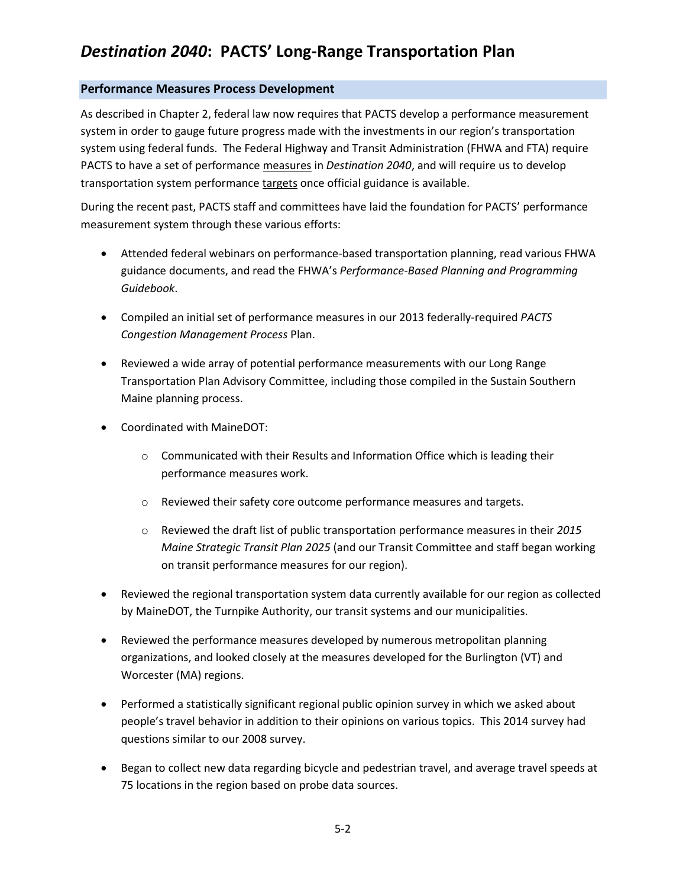### **Performance Measures Process Development**

As described in Chapter 2, federal law now requires that PACTS develop a performance measurement system in order to gauge future progress made with the investments in our region's transportation system using federal funds. The Federal Highway and Transit Administration (FHWA and FTA) require PACTS to have a set of performance measures in *Destination 2040*, and will require us to develop transportation system performance targets once official guidance is available.

During the recent past, PACTS staff and committees have laid the foundation for PACTS' performance measurement system through these various efforts:

- Attended federal webinars on performance-based transportation planning, read various FHWA guidance documents, and read the FHWA's *Performance-Based Planning and Programming Guidebook*.
- Compiled an initial set of performance measures in our 2013 federally-required *PACTS Congestion Management Process* Plan.
- Reviewed a wide array of potential performance measurements with our Long Range Transportation Plan Advisory Committee, including those compiled in the Sustain Southern Maine planning process.
- Coordinated with MaineDOT:
	- o Communicated with their Results and Information Office which is leading their performance measures work.
	- o Reviewed their safety core outcome performance measures and targets.
	- o Reviewed the draft list of public transportation performance measures in their *2015 Maine Strategic Transit Plan 2025* (and our Transit Committee and staff began working on transit performance measures for our region).
- Reviewed the regional transportation system data currently available for our region as collected by MaineDOT, the Turnpike Authority, our transit systems and our municipalities.
- Reviewed the performance measures developed by numerous metropolitan planning organizations, and looked closely at the measures developed for the Burlington (VT) and Worcester (MA) regions.
- Performed a statistically significant regional public opinion survey in which we asked about people's travel behavior in addition to their opinions on various topics. This 2014 survey had questions similar to our 2008 survey.
- Began to collect new data regarding bicycle and pedestrian travel, and average travel speeds at 75 locations in the region based on probe data sources.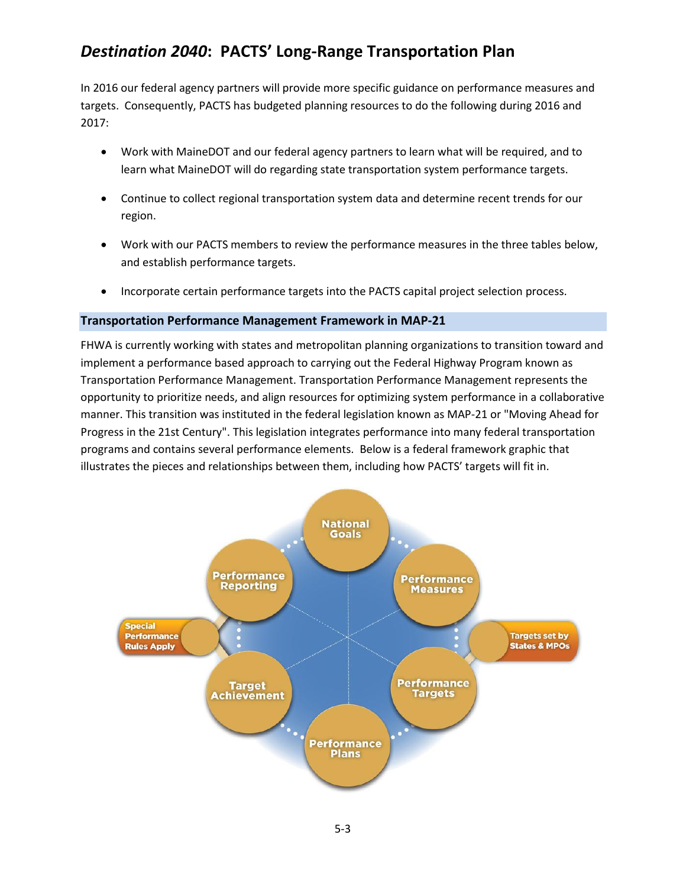In 2016 our federal agency partners will provide more specific guidance on performance measures and targets. Consequently, PACTS has budgeted planning resources to do the following during 2016 and 2017:

- Work with MaineDOT and our federal agency partners to learn what will be required, and to learn what MaineDOT will do regarding state transportation system performance targets.
- Continue to collect regional transportation system data and determine recent trends for our region.
- Work with our PACTS members to review the performance measures in the three tables below, and establish performance targets.
- Incorporate certain performance targets into the PACTS capital project selection process.

## **Transportation Performance Management Framework in MAP-21**

FHWA is currently working with states and metropolitan planning organizations to transition toward and implement a performance based approach to carrying out the Federal Highway Program known as Transportation Performance Management. Transportation Performance Management represents the opportunity to prioritize needs, and align resources for optimizing system performance in a collaborative manner. This transition was instituted in the federal legislation known as MAP-21 or "Moving Ahead for Progress in the 21st Century". This legislation integrates performance into many federal transportation programs and contains several performance elements. Below is a federal framework graphic that illustrates the pieces and relationships between them, including how PACTS' targets will fit in.

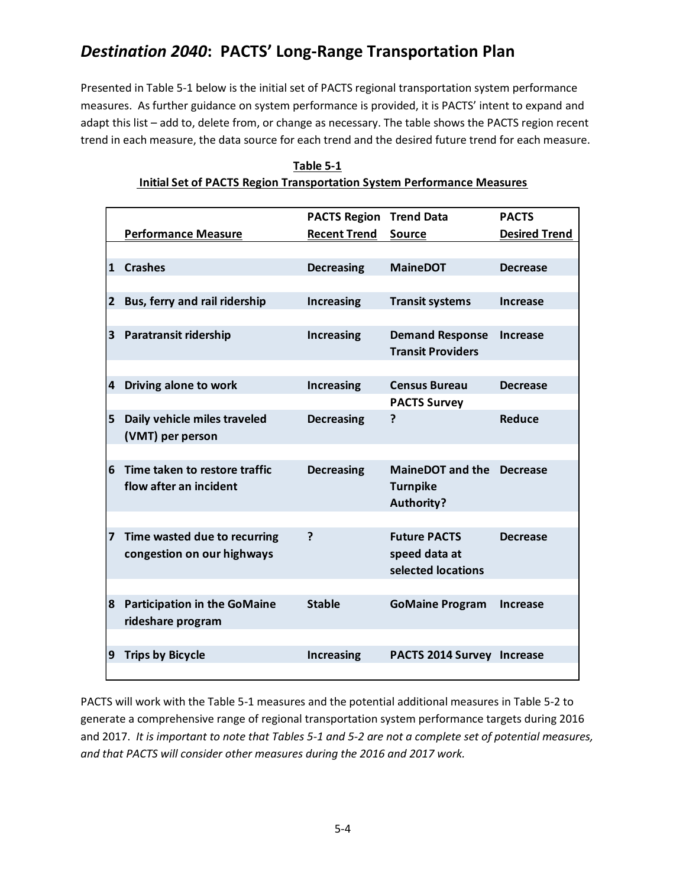Presented in Table 5-1 below is the initial set of PACTS regional transportation system performance measures. As further guidance on system performance is provided, it is PACTS' intent to expand and adapt this list – add to, delete from, or change as necessary. The table shows the PACTS region recent trend in each measure, the data source for each trend and the desired future trend for each measure.

|              |                                     | <b>PACTS Region</b> | <b>Trend Data</b>                   | <b>PACTS</b>         |
|--------------|-------------------------------------|---------------------|-------------------------------------|----------------------|
|              | <b>Performance Measure</b>          | <b>Recent Trend</b> | <b>Source</b>                       | <b>Desired Trend</b> |
|              |                                     |                     |                                     |                      |
| $\mathbf{1}$ | <b>Crashes</b>                      | <b>Decreasing</b>   | <b>MaineDOT</b>                     | <b>Decrease</b>      |
|              |                                     |                     |                                     |                      |
| $\mathbf{2}$ | Bus, ferry and rail ridership       | <b>Increasing</b>   | <b>Transit systems</b>              | <b>Increase</b>      |
|              |                                     |                     |                                     |                      |
| 3            | <b>Paratransit ridership</b>        | <b>Increasing</b>   | <b>Demand Response</b>              | <b>Increase</b>      |
|              |                                     |                     | <b>Transit Providers</b>            |                      |
|              |                                     |                     |                                     |                      |
| 4            | Driving alone to work               | <b>Increasing</b>   | <b>Census Bureau</b>                | <b>Decrease</b>      |
|              |                                     |                     | <b>PACTS Survey</b>                 |                      |
| 5            | Daily vehicle miles traveled        | <b>Decreasing</b>   | ?                                   | Reduce               |
|              | (VMT) per person                    |                     |                                     |                      |
|              |                                     |                     |                                     |                      |
| 6            | Time taken to restore traffic       | <b>Decreasing</b>   | MaineDOT and the Decrease           |                      |
|              | flow after an incident              |                     | <b>Turnpike</b>                     |                      |
|              |                                     |                     | <b>Authority?</b>                   |                      |
|              |                                     |                     |                                     |                      |
| 7            | Time wasted due to recurring        | ?                   | <b>Future PACTS</b>                 | <b>Decrease</b>      |
|              | congestion on our highways          |                     | speed data at<br>selected locations |                      |
|              |                                     |                     |                                     |                      |
|              |                                     | <b>Stable</b>       |                                     |                      |
| 8            | <b>Participation in the GoMaine</b> |                     | <b>GoMaine Program</b>              | <b>Increase</b>      |
|              | rideshare program                   |                     |                                     |                      |
| 9            | <b>Trips by Bicycle</b>             | <b>Increasing</b>   | PACTS 2014 Survey Increase          |                      |
|              |                                     |                     |                                     |                      |

| Table 5-1                                                              |
|------------------------------------------------------------------------|
| Initial Set of PACTS Region Transportation System Performance Measures |

PACTS will work with the Table 5-1 measures and the potential additional measures in Table 5-2 to generate a comprehensive range of regional transportation system performance targets during 2016 and 2017. *It is important to note that Tables 5-1 and 5-2 are not a complete set of potential measures, and that PACTS will consider other measures during the 2016 and 2017 work.*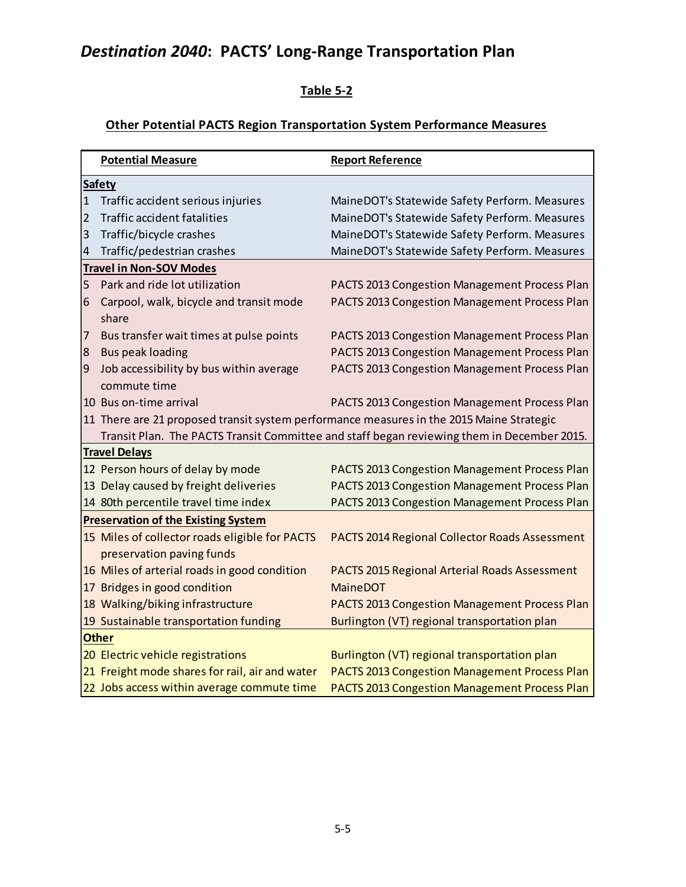## **Table 5-2**

# **Other Potential PACTS Region Transportation System Performance Measures**

|              | <b>Potential Measure</b>                       | <b>Report Reference</b>                                                                    |  |  |  |
|--------------|------------------------------------------------|--------------------------------------------------------------------------------------------|--|--|--|
|              | <b>Safety</b>                                  |                                                                                            |  |  |  |
| $\mathbf{1}$ | Traffic accident serious injuries              | MaineDOT's Statewide Safety Perform. Measures                                              |  |  |  |
| 2            | <b>Traffic accident fatalities</b>             | MaineDOT's Statewide Safety Perform. Measures                                              |  |  |  |
| 3            | Traffic/bicycle crashes                        | MaineDOT's Statewide Safety Perform. Measures                                              |  |  |  |
| 4            | Traffic/pedestrian crashes                     | MaineDOT's Statewide Safety Perform. Measures                                              |  |  |  |
|              | <b>Travel in Non-SOV Modes</b>                 |                                                                                            |  |  |  |
| 5            | Park and ride lot utilization                  | PACTS 2013 Congestion Management Process Plan                                              |  |  |  |
| 6            | Carpool, walk, bicycle and transit mode        | PACTS 2013 Congestion Management Process Plan                                              |  |  |  |
|              | share                                          |                                                                                            |  |  |  |
| 7            | Bus transfer wait times at pulse points        | PACTS 2013 Congestion Management Process Plan                                              |  |  |  |
| 8            | <b>Bus peak loading</b>                        | PACTS 2013 Congestion Management Process Plan                                              |  |  |  |
| 9            | Job accessibility by bus within average        | PACTS 2013 Congestion Management Process Plan                                              |  |  |  |
|              | commute time                                   |                                                                                            |  |  |  |
|              | 10 Bus on-time arrival                         | PACTS 2013 Congestion Management Process Plan                                              |  |  |  |
|              |                                                | 11 There are 21 proposed transit system performance measures in the 2015 Maine Strategic   |  |  |  |
|              |                                                | Transit Plan. The PACTS Transit Committee and staff began reviewing them in December 2015. |  |  |  |
|              | <b>Travel Delays</b>                           |                                                                                            |  |  |  |
|              | 12 Person hours of delay by mode               | PACTS 2013 Congestion Management Process Plan                                              |  |  |  |
|              | 13 Delay caused by freight deliveries          | PACTS 2013 Congestion Management Process Plan                                              |  |  |  |
|              | 14 80th percentile travel time index           | PACTS 2013 Congestion Management Process Plan                                              |  |  |  |
|              | <b>Preservation of the Existing System</b>     |                                                                                            |  |  |  |
|              | 15 Miles of collector roads eligible for PACTS | PACTS 2014 Regional Collector Roads Assessment                                             |  |  |  |
|              | preservation paving funds                      |                                                                                            |  |  |  |
|              | 16 Miles of arterial roads in good condition   | PACTS 2015 Regional Arterial Roads Assessment                                              |  |  |  |
|              | 17 Bridges in good condition                   | <b>MaineDOT</b>                                                                            |  |  |  |
|              | 18 Walking/biking infrastructure               | PACTS 2013 Congestion Management Process Plan                                              |  |  |  |
|              | 19 Sustainable transportation funding          | Burlington (VT) regional transportation plan                                               |  |  |  |
| <b>Other</b> |                                                |                                                                                            |  |  |  |
|              | 20 Electric vehicle registrations              | Burlington (VT) regional transportation plan                                               |  |  |  |
|              | 21 Freight mode shares for rail, air and water | PACTS 2013 Congestion Management Process Plan                                              |  |  |  |
|              | 22 Jobs access within average commute time     | PACTS 2013 Congestion Management Process Plan                                              |  |  |  |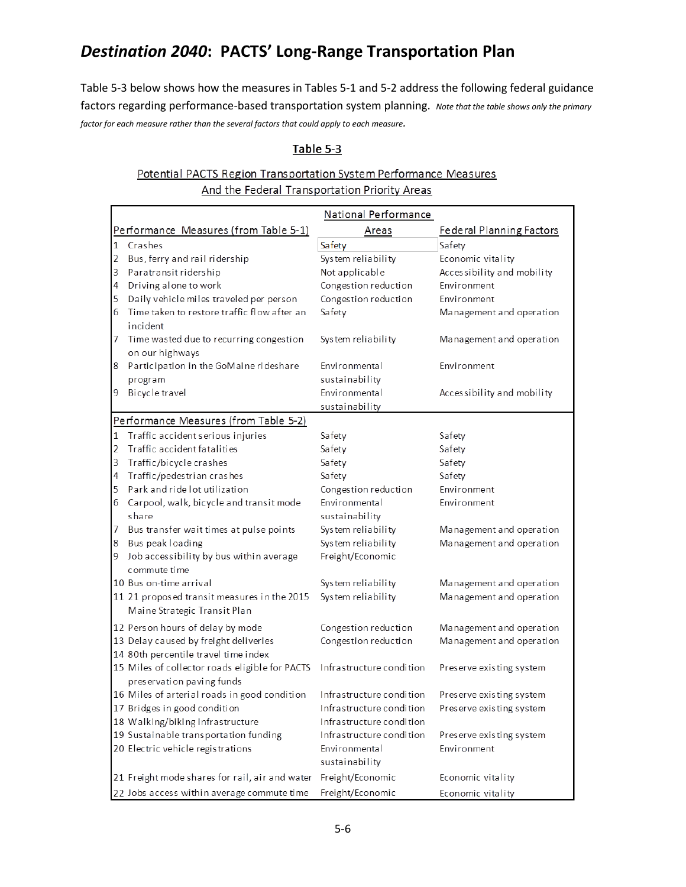Table 5-3 below shows how the measures in Tables 5-1 and 5-2 address the following federal guidance factors regarding performance-based transportation system planning. *Note that the table shows only the primary factor for each measure rather than the several factors that could apply to each measure.*

### Table 5-3

## Potential PACTS Region Transportation System Performance Measures And the Federal Transportation Priority Areas

|   | National Performance                                                                                 |                                 |                                 |  |  |
|---|------------------------------------------------------------------------------------------------------|---------------------------------|---------------------------------|--|--|
|   | Performance Measures (from Table 5-1)                                                                | Areas                           | <b>Federal Planning Factors</b> |  |  |
| 1 | Crashes                                                                                              | Safety                          | Safety                          |  |  |
| 2 | Bus, ferry and rail ridership                                                                        | System reliability              | Economic vitality               |  |  |
| 3 | Paratransit ridership                                                                                | Not applicable                  | Accessibility and mobility      |  |  |
| 4 | Driving alone to work                                                                                | Congestion reduction            | Environment                     |  |  |
| 5 | Daily vehicle miles traveled per person                                                              | Congestion reduction            | Environment                     |  |  |
| 6 | Time taken to restore traffic flow after an<br>incident                                              | Safety                          | Management and operation        |  |  |
| 7 | Time wasted due to recurring congestion<br>on our highways                                           | System reliability              | Management and operation        |  |  |
| 8 | Participation in the GoMaine rideshare                                                               | Environmental                   | Environment                     |  |  |
|   | program                                                                                              | sustainability                  |                                 |  |  |
| 9 | Bicycle travel                                                                                       | Environmental                   | Accessibility and mobility      |  |  |
|   |                                                                                                      | sustainability                  |                                 |  |  |
|   | Performance Measures (from Table 5-2)                                                                |                                 |                                 |  |  |
| 1 | Traffic accident serious injuries                                                                    | Safety                          | Safety                          |  |  |
| 2 | Traffic accident fatalities                                                                          | Safety                          | Safety                          |  |  |
| 3 | Traffic/bicycle crashes                                                                              | Safety                          | Safety                          |  |  |
| 4 | Traffic/pedestrian crashes                                                                           | Safety                          | Safety                          |  |  |
| 5 | Park and ride lot utilization                                                                        | Congestion reduction            | Environment                     |  |  |
| 6 | Carpool, walk, bicycle and transit mode                                                              | Environmental                   | Environment                     |  |  |
|   | share                                                                                                | sustainability                  |                                 |  |  |
| 7 | Bus transfer wait times at pulse points                                                              | System reliability              | Management and operation        |  |  |
| 8 | Bus peak loading                                                                                     | System reliability              | Management and operation        |  |  |
| 9 | Job accessibility by bus within average<br>commute time                                              | Freight/Economic                |                                 |  |  |
|   | 10 Bus on-time arrival                                                                               | System reliability              | Management and operation        |  |  |
|   | 11 21 proposed transit measures in the 2015<br>Maine Strategic Transit Plan                          | System reliability              | Management and operation        |  |  |
|   | 12 Person hours of delay by mode                                                                     | Congestion reduction            | Management and operation        |  |  |
|   | 13 Delay caused by freight deliveries                                                                | Congestion reduction            | Management and operation        |  |  |
|   | 14 80th percentile travel time index                                                                 |                                 |                                 |  |  |
|   | 15 Miles of collector roads eligible for PACTS Infrastructure condition<br>preservation paving funds |                                 | Preserve existing system        |  |  |
|   | 16 Miles of arterial roads in good condition                                                         | Infrastructure condition        | Preserve existing system        |  |  |
|   | 17 Bridges in good condition                                                                         | Infrastructure condition        | Preserve existing system        |  |  |
|   | 18 Walking/biking infrastructure                                                                     | Infrastructure condition        |                                 |  |  |
|   | 19 Sustainable transportation funding                                                                | Infrastructure condition        | Preserve existing system        |  |  |
|   | 20 Electric vehicle registrations                                                                    | Environmental<br>sustainability | Environment                     |  |  |
|   | 21 Freight mode shares for rail, air and water                                                       | Freight/Economic                | Economic vitality               |  |  |
|   | 22 Jobs access within average commute time                                                           | Freight/Economic                | Economic vitality               |  |  |